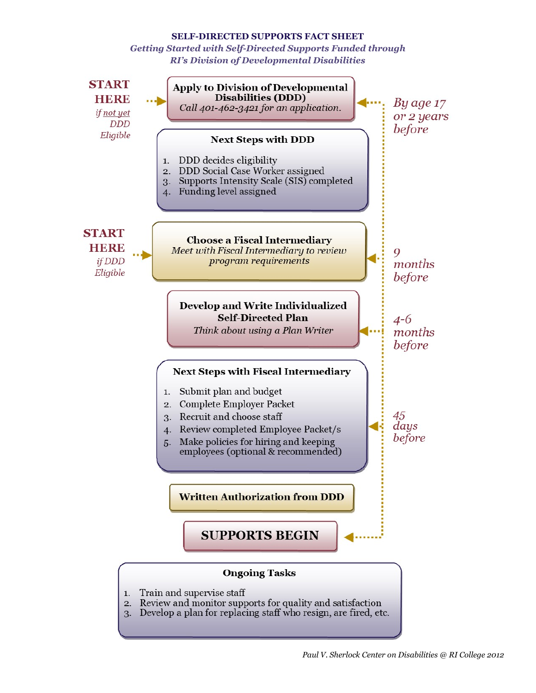## **SELF-DIRECTED SUPPORTS FACT SHEET**

*Getting Started with Self-Directed Supports Funded through RI's Division of Developmental Disabilities*